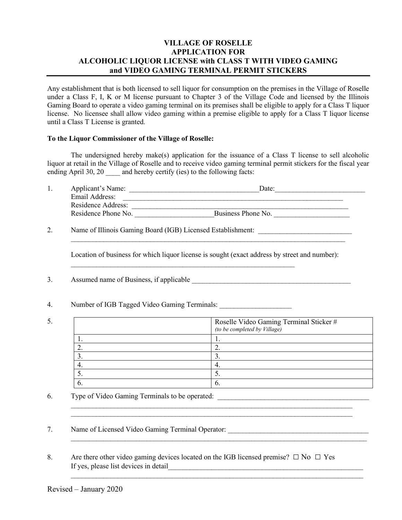# **VILLAGE OF ROSELLE APPLICATION FOR ALCOHOLIC LIQUOR LICENSE with CLASS T WITH VIDEO GAMING and VIDEO GAMING TERMINAL PERMIT STICKERS**

Any establishment that is both licensed to sell liquor for consumption on the premises in the Village of Roselle under a Class F, I, K or M license pursuant to Chapter 3 of the Village Code and licensed by the Illinois Gaming Board to operate a video gaming terminal on its premises shall be eligible to apply for a Class T liquor license. No licensee shall allow video gaming within a premise eligible to apply for a Class T liquor license until a Class T License is granted.

#### **To the Liquor Commissioner of the Village of Roselle:**

The undersigned hereby make(s) application for the issuance of a Class T license to sell alcoholic liquor at retail in the Village of Roselle and to receive video gaming terminal permit stickers for the fiscal year ending April 30, 20  $\qquad$  and hereby certify (ies) to the following facts:

|  | Applicant's Name:   | Date:              |  |
|--|---------------------|--------------------|--|
|  | Email Address:      |                    |  |
|  | Residence Address:  |                    |  |
|  | Residence Phone No. | Business Phone No. |  |
|  |                     |                    |  |

2. Name of Illinois Gaming Board (IGB) Licensed Establishment: \_\_\_\_\_\_\_\_\_\_\_\_\_\_\_\_\_

Location of business for which liquor license is sought (exact address by street and number):

 $\_$  , and the contribution of the contribution of  $\mathcal{L}_\mathcal{A}$  , and the contribution of  $\mathcal{L}_\mathcal{A}$ 

 $\mathcal{L}_\text{max}$  , and the contribution of the contribution of the contribution of the contribution of the contribution of the contribution of the contribution of the contribution of the contribution of the contribution of t

- 3. Assumed name of Business, if applicable
- 4. Number of IGB Tagged Video Gaming Terminals: \_\_\_\_\_\_\_\_\_\_\_\_\_\_\_\_\_\_\_\_\_\_\_\_\_\_\_\_\_\_\_\_
- 5.

| Roselle Video Gaming Terminal Sticker #<br>(to be completed by Village) |
|-------------------------------------------------------------------------|
| . .                                                                     |
|                                                                         |
|                                                                         |
| −                                                                       |
| <u>.</u>                                                                |
|                                                                         |

\_\_\_\_\_\_\_\_\_\_\_\_\_\_\_\_\_\_\_\_\_\_\_\_\_\_\_\_\_\_\_\_\_\_\_\_\_\_\_\_\_\_\_\_\_\_\_\_\_\_\_\_\_\_\_\_\_\_\_\_\_\_\_\_\_\_\_\_\_\_\_\_\_\_\_\_\_\_

 $\mathcal{L}_\text{max}$  , and the contribution of the contribution of the contribution of the contribution of the contribution of the contribution of the contribution of the contribution of the contribution of the contribution of t

 $\mathcal{L}_\text{max}$  , and the contribution of the contribution of the contribution of the contribution of the contribution of the contribution of the contribution of the contribution of the contribution of the contribution of t

- 6. Type of Video Gaming Terminals to be operated: \_\_\_\_\_\_\_\_\_\_\_\_\_\_\_\_\_\_\_\_\_\_\_\_\_\_\_\_\_\_\_
- 7. Name of Licensed Video Gaming Terminal Operator: \_\_\_\_\_\_\_\_\_\_\_\_\_\_\_\_\_\_\_\_\_\_\_\_\_\_\_\_\_
- 8. Are there other video gaming devices located on the IGB licensed premise?  $\Box$  No  $\Box$  Yes If yes, please list devices in detail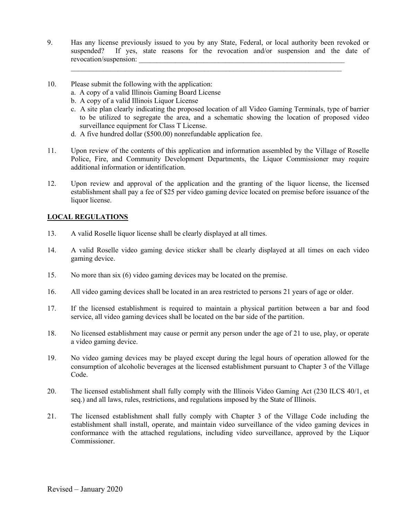9. Has any license previously issued to you by any State, Federal, or local authority been revoked or suspended? If yes, state reasons for the revocation and/or suspension and the date of revocation/suspension:

 $\mathcal{L}_\text{max}$  , and the contribution of the contribution of the contribution of the contribution of the contribution of the contribution of the contribution of the contribution of the contribution of the contribution of t

- 10. Please submit the following with the application:
	- a. A copy of a valid Illinois Gaming Board License
	- b. A copy of a valid Illinois Liquor License
	- c. A site plan clearly indicating the proposed location of all Video Gaming Terminals, type of barrier to be utilized to segregate the area, and a schematic showing the location of proposed video surveillance equipment for Class T License.
	- d. A five hundred dollar (\$500.00) nonrefundable application fee.
- 11. Upon review of the contents of this application and information assembled by the Village of Roselle Police, Fire, and Community Development Departments, the Liquor Commissioner may require additional information or identification.
- 12. Upon review and approval of the application and the granting of the liquor license, the licensed establishment shall pay a fee of \$25 per video gaming device located on premise before issuance of the liquor license.

### **LOCAL REGULATIONS**

- 13. A valid Roselle liquor license shall be clearly displayed at all times.
- 14. A valid Roselle video gaming device sticker shall be clearly displayed at all times on each video gaming device.
- 15. No more than six (6) video gaming devices may be located on the premise.
- 16. All video gaming devices shall be located in an area restricted to persons 21 years of age or older.
- 17. If the licensed establishment is required to maintain a physical partition between a bar and food service, all video gaming devices shall be located on the bar side of the partition.
- 18. No licensed establishment may cause or permit any person under the age of 21 to use, play, or operate a video gaming device.
- 19. No video gaming devices may be played except during the legal hours of operation allowed for the consumption of alcoholic beverages at the licensed establishment pursuant to Chapter 3 of the Village Code.
- 20. The licensed establishment shall fully comply with the Illinois Video Gaming Act (230 ILCS 40/1, et seq.) and all laws, rules, restrictions, and regulations imposed by the State of Illinois.
- 21. The licensed establishment shall fully comply with Chapter 3 of the Village Code including the establishment shall install, operate, and maintain video surveillance of the video gaming devices in conformance with the attached regulations, including video surveillance, approved by the Liquor Commissioner.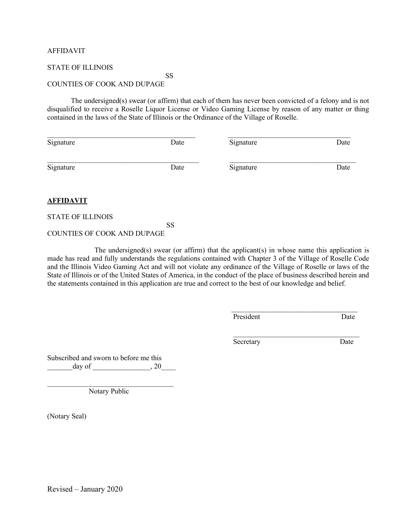#### AFFIDAVIT

#### STATE OF ILLINOIS

# SS

#### COUNTIES OF COOK AND DUPAGE

The undersigned(s) swear (or affirm) that each of them has never been convicted of a felony and is not disqualified to receive a Roselle Liquor License or Video Gaming License by reason of any matter or thing contained in the laws of the State of Illinois or the Ordinance of the Village of Roselle.

| Signature | Date | Signature | Date |
|-----------|------|-----------|------|
| Signature | Date | Signature | Date |

#### **AFFIDAVIT**

#### STATE OF ILLINOIS

### SS

## COUNTIES OF COOK AND DUPAGE

The undersigned(s) swear (or affirm) that the applicant(s) in whose name this application is made has read and fully understands the regulations contained with Chapter 3 of the Village of Roselle Code and the Illinois Video Gaming Act and will not violate any ordinance of the Village of Roselle or laws of the State of Illinois or of the United States of America, in the conduct of the place of business described herein and the statements contained in this application are true and correct to the best of our knowledge and belief.

 $\mathcal{L}_\text{max}$  and  $\mathcal{L}_\text{max}$  and  $\mathcal{L}_\text{max}$  and  $\mathcal{L}_\text{max}$  and  $\mathcal{L}_\text{max}$  and  $\mathcal{L}_\text{max}$ 

| $\mathbf{r}$ |  |
|--------------|--|

Secretary Date

Subscribed and sworn to before me this  $day of$   $, 20$ 

 $\overline{\phantom{a}}$  , where  $\overline{\phantom{a}}$  , where  $\overline{\phantom{a}}$  ,  $\overline{\phantom{a}}$  ,  $\overline{\phantom{a}}$  ,  $\overline{\phantom{a}}$  ,  $\overline{\phantom{a}}$  ,  $\overline{\phantom{a}}$  ,  $\overline{\phantom{a}}$  ,  $\overline{\phantom{a}}$  ,  $\overline{\phantom{a}}$  ,  $\overline{\phantom{a}}$  ,  $\overline{\phantom{a}}$  ,  $\overline{\phantom{a}}$  ,  $\overline{\phantom{a}}$  , Notary Public

(Notary Seal)